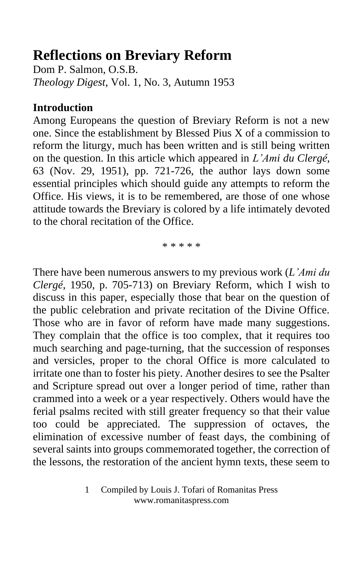# **Reflections on Breviary Reform**

Dom P. Salmon, O.S.B. *Theology Digest*, Vol. 1, No. 3, Autumn 1953

#### **Introduction**

Among Europeans the question of Breviary Reform is not a new one. Since the establishment by Blessed Pius X of a commission to reform the liturgy, much has been written and is still being written on the question. In this article which appeared in *L'Ami du Clergé*, 63 (Nov. 29, 1951), pp. 721-726, the author lays down some essential principles which should guide any attempts to reform the Office. His views, it is to be remembered, are those of one whose attitude towards the Breviary is colored by a life intimately devoted to the choral recitation of the Office.

\* \* \* \* \*

There have been numerous answers to my previous work (*L'Ami du Clergé*, 1950, p. 705-713) on Breviary Reform, which I wish to discuss in this paper, especially those that bear on the question of the public celebration and private recitation of the Divine Office. Those who are in favor of reform have made many suggestions. They complain that the office is too complex, that it requires too much searching and page-turning, that the succession of responses and versicles, proper to the choral Office is more calculated to irritate one than to foster his piety. Another desires to see the Psalter and Scripture spread out over a longer period of time, rather than crammed into a week or a year respectively. Others would have the ferial psalms recited with still greater frequency so that their value too could be appreciated. The suppression of octaves, the elimination of excessive number of feast days, the combining of several saints into groups commemorated together, the correction of the lessons, the restoration of the ancient hymn texts, these seem to

<sup>1</sup> Compiled by Louis J. Tofari of Romanitas Press www.romanitaspress.com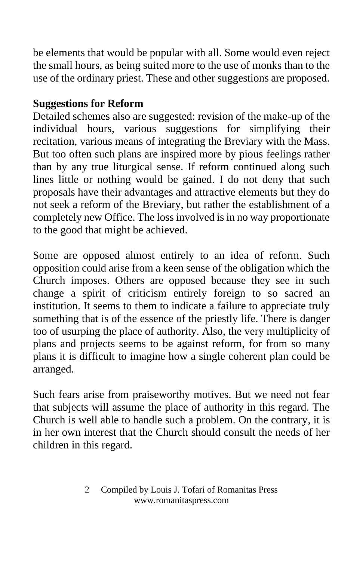be elements that would be popular with all. Some would even reject the small hours, as being suited more to the use of monks than to the use of the ordinary priest. These and other suggestions are proposed.

# **Suggestions for Reform**

Detailed schemes also are suggested: revision of the make-up of the individual hours, various suggestions for simplifying their recitation, various means of integrating the Breviary with the Mass. But too often such plans are inspired more by pious feelings rather than by any true liturgical sense. If reform continued along such lines little or nothing would be gained. I do not deny that such proposals have their advantages and attractive elements but they do not seek a reform of the Breviary, but rather the establishment of a completely new Office. The loss involved is in no way proportionate to the good that might be achieved.

Some are opposed almost entirely to an idea of reform. Such opposition could arise from a keen sense of the obligation which the Church imposes. Others are opposed because they see in such change a spirit of criticism entirely foreign to so sacred an institution. It seems to them to indicate a failure to appreciate truly something that is of the essence of the priestly life. There is danger too of usurping the place of authority. Also, the very multiplicity of plans and projects seems to be against reform, for from so many plans it is difficult to imagine how a single coherent plan could be arranged.

Such fears arise from praiseworthy motives. But we need not fear that subjects will assume the place of authority in this regard. The Church is well able to handle such a problem. On the contrary, it is in her own interest that the Church should consult the needs of her children in this regard.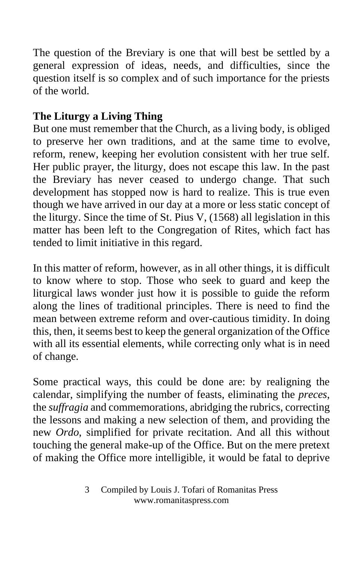The question of the Breviary is one that will best be settled by a general expression of ideas, needs, and difficulties, since the question itself is so complex and of such importance for the priests of the world.

# **The Liturgy a Living Thing**

But one must remember that the Church, as a living body, is obliged to preserve her own traditions, and at the same time to evolve, reform, renew, keeping her evolution consistent with her true self. Her public prayer, the liturgy, does not escape this law. In the past the Breviary has never ceased to undergo change. That such development has stopped now is hard to realize. This is true even though we have arrived in our day at a more or less static concept of the liturgy. Since the time of St. Pius V, (1568) all legislation in this matter has been left to the Congregation of Rites, which fact has tended to limit initiative in this regard.

In this matter of reform, however, as in all other things, it is difficult to know where to stop. Those who seek to guard and keep the liturgical laws wonder just how it is possible to guide the reform along the lines of traditional principles. There is need to find the mean between extreme reform and over-cautious timidity. In doing this, then, it seems best to keep the general organization of the Office with all its essential elements, while correcting only what is in need of change.

Some practical ways, this could be done are: by realigning the calendar, simplifying the number of feasts, eliminating the *preces*, the *suffragia* and commemorations, abridging the rubrics, correcting the lessons and making a new selection of them, and providing the new *Ordo*, simplified for private recitation. And all this without touching the general make-up of the Office. But on the mere pretext of making the Office more intelligible, it would be fatal to deprive

<sup>3</sup> Compiled by Louis J. Tofari of Romanitas Press www.romanitaspress.com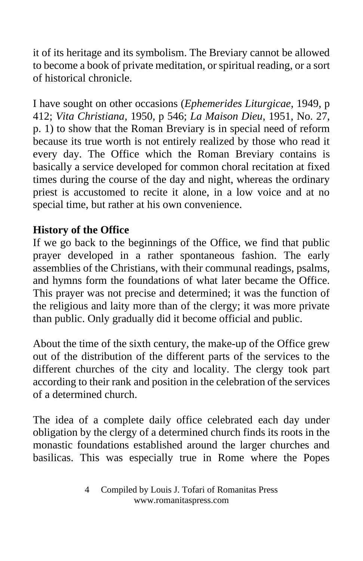it of its heritage and its symbolism. The Breviary cannot be allowed to become a book of private meditation, or spiritual reading, or a sort of historical chronicle.

I have sought on other occasions (*Ephemerides Liturgicae*, 1949, p 412; *Vita Christiana*, 1950, p 546; *La Maison Dieu*, 1951, No. 27, p. 1) to show that the Roman Breviary is in special need of reform because its true worth is not entirely realized by those who read it every day. The Office which the Roman Breviary contains is basically a service developed for common choral recitation at fixed times during the course of the day and night, whereas the ordinary priest is accustomed to recite it alone, in a low voice and at no special time, but rather at his own convenience.

## **History of the Office**

If we go back to the beginnings of the Office, we find that public prayer developed in a rather spontaneous fashion. The early assemblies of the Christians, with their communal readings, psalms, and hymns form the foundations of what later became the Office. This prayer was not precise and determined; it was the function of the religious and laity more than of the clergy; it was more private than public. Only gradually did it become official and public.

About the time of the sixth century, the make-up of the Office grew out of the distribution of the different parts of the services to the different churches of the city and locality. The clergy took part according to their rank and position in the celebration of the services of a determined church.

The idea of a complete daily office celebrated each day under obligation by the clergy of a determined church finds its roots in the monastic foundations established around the larger churches and basilicas. This was especially true in Rome where the Popes

<sup>4</sup> Compiled by Louis J. Tofari of Romanitas Press www.romanitaspress.com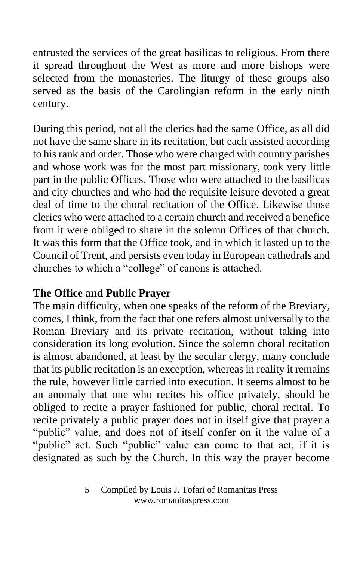entrusted the services of the great basilicas to religious. From there it spread throughout the West as more and more bishops were selected from the monasteries. The liturgy of these groups also served as the basis of the Carolingian reform in the early ninth century.

During this period, not all the clerics had the same Office, as all did not have the same share in its recitation, but each assisted according to his rank and order. Those who were charged with country parishes and whose work was for the most part missionary, took very little part in the public Offices. Those who were attached to the basilicas and city churches and who had the requisite leisure devoted a great deal of time to the choral recitation of the Office. Likewise those clerics who were attached to a certain church and received a benefice from it were obliged to share in the solemn Offices of that church. It was this form that the Office took, and in which it lasted up to the Council of Trent, and persists even today in European cathedrals and churches to which a "college" of canons is attached.

#### **The Office and Public Prayer**

The main difficulty, when one speaks of the reform of the Breviary, comes, I think, from the fact that one refers almost universally to the Roman Breviary and its private recitation, without taking into consideration its long evolution. Since the solemn choral recitation is almost abandoned, at least by the secular clergy, many conclude that its public recitation is an exception, whereas in reality it remains the rule, however little carried into execution. It seems almost to be an anomaly that one who recites his office privately, should be obliged to recite a prayer fashioned for public, choral recital. To recite privately a public prayer does not in itself give that prayer a "public" value, and does not of itself confer on it the value of a "public" act. Such "public" value can come to that act, if it is designated as such by the Church. In this way the prayer become

<sup>5</sup> Compiled by Louis J. Tofari of Romanitas Press www.romanitaspress.com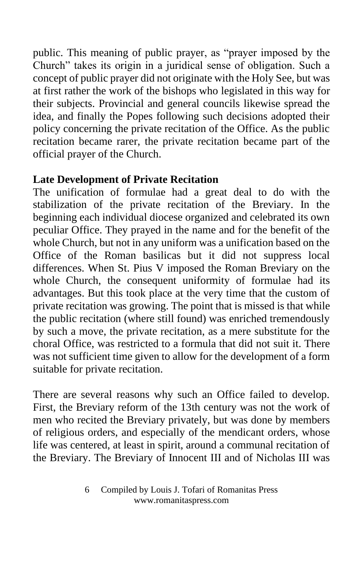public. This meaning of public prayer, as "prayer imposed by the Church" takes its origin in a juridical sense of obligation. Such a concept of public prayer did not originate with the Holy See, but was at first rather the work of the bishops who legislated in this way for their subjects. Provincial and general councils likewise spread the idea, and finally the Popes following such decisions adopted their policy concerning the private recitation of the Office. As the public recitation became rarer, the private recitation became part of the official prayer of the Church.

## **Late Development of Private Recitation**

The unification of formulae had a great deal to do with the stabilization of the private recitation of the Breviary. In the beginning each individual diocese organized and celebrated its own peculiar Office. They prayed in the name and for the benefit of the whole Church, but not in any uniform was a unification based on the Office of the Roman basilicas but it did not suppress local differences. When St. Pius V imposed the Roman Breviary on the whole Church, the consequent uniformity of formulae had its advantages. But this took place at the very time that the custom of private recitation was growing. The point that is missed is that while the public recitation (where still found) was enriched tremendously by such a move, the private recitation, as a mere substitute for the choral Office, was restricted to a formula that did not suit it. There was not sufficient time given to allow for the development of a form suitable for private recitation.

There are several reasons why such an Office failed to develop. First, the Breviary reform of the 13th century was not the work of men who recited the Breviary privately, but was done by members of religious orders, and especially of the mendicant orders, whose life was centered, at least in spirit, around a communal recitation of the Breviary. The Breviary of Innocent III and of Nicholas III was

<sup>6</sup> Compiled by Louis J. Tofari of Romanitas Press www.romanitaspress.com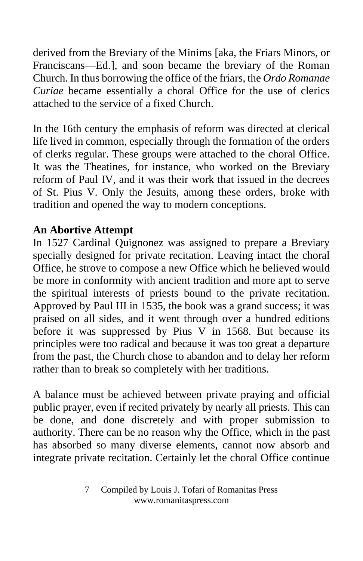derived from the Breviary of the Minims [aka, the Friars Minors, or Franciscans—Ed.], and soon became the breviary of the Roman Church. In thus borrowing the office of the friars, the *Ordo Romanae Curiae* became essentially a choral Office for the use of clerics attached to the service of a fixed Church.

In the 16th century the emphasis of reform was directed at clerical life lived in common, especially through the formation of the orders of clerks regular. These groups were attached to the choral Office. It was the Theatines, for instance, who worked on the Breviary reform of Paul IV, and it was their work that issued in the decrees of St. Pius V. Only the Jesuits, among these orders, broke with tradition and opened the way to modern conceptions.

## **An Abortive Attempt**

In 1527 Cardinal Quignonez was assigned to prepare a Breviary specially designed for private recitation. Leaving intact the choral Office, he strove to compose a new Office which he believed would be more in conformity with ancient tradition and more apt to serve the spiritual interests of priests bound to the private recitation. Approved by Paul III in 1535, the book was a grand success; it was praised on all sides, and it went through over a hundred editions before it was suppressed by Pius V in 1568. But because its principles were too radical and because it was too great a departure from the past, the Church chose to abandon and to delay her reform rather than to break so completely with her traditions.

A balance must be achieved between private praying and official public prayer, even if recited privately by nearly all priests. This can be done, and done discretely and with proper submission to authority. There can be no reason why the Office, which in the past has absorbed so many diverse elements, cannot now absorb and integrate private recitation. Certainly let the choral Office continue

<sup>7</sup> Compiled by Louis J. Tofari of Romanitas Press www.romanitaspress.com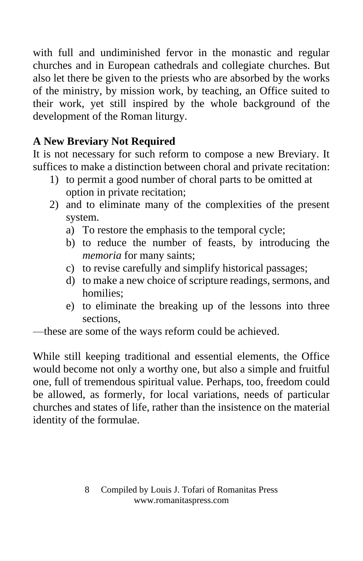with full and undiminished fervor in the monastic and regular churches and in European cathedrals and collegiate churches. But also let there be given to the priests who are absorbed by the works of the ministry, by mission work, by teaching, an Office suited to their work, yet still inspired by the whole background of the development of the Roman liturgy.

# **A New Breviary Not Required**

It is not necessary for such reform to compose a new Breviary. It suffices to make a distinction between choral and private recitation:

- 1) to permit a good number of choral parts to be omitted at option in private recitation;
- 2) and to eliminate many of the complexities of the present system.
	- a) To restore the emphasis to the temporal cycle;
	- b) to reduce the number of feasts, by introducing the *memoria* for many saints;
	- c) to revise carefully and simplify historical passages;
	- d) to make a new choice of scripture readings, sermons, and homilies;
	- e) to eliminate the breaking up of the lessons into three sections,

—these are some of the ways reform could be achieved.

While still keeping traditional and essential elements, the Office would become not only a worthy one, but also a simple and fruitful one, full of tremendous spiritual value. Perhaps, too, freedom could be allowed, as formerly, for local variations, needs of particular churches and states of life, rather than the insistence on the material identity of the formulae.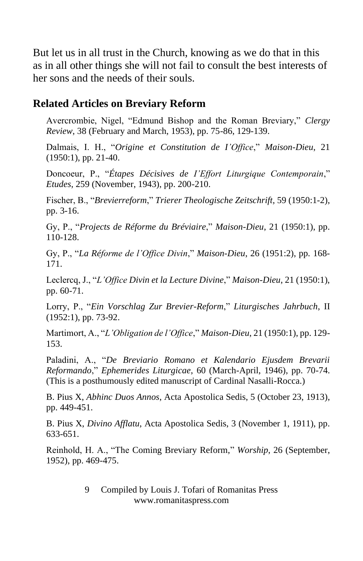But let us in all trust in the Church, knowing as we do that in this as in all other things she will not fail to consult the best interests of her sons and the needs of their souls.

#### **Related Articles on Breviary Reform**

Avercrombie, Nigel, "Edmund Bishop and the Roman Breviary," *Clergy Review*, 38 (February and March, 1953), pp. 75-86, 129-139.

Dalmais, I. H., "*Origine et Constitution de I'Office*," *Maison-Dieu*, 21 (1950:1), pp. 21-40.

Doncoeur, P., "*Étapes Décisives de I'Effort Liturgique Contemporain*," *Etudes*, 259 (November, 1943), pp. 200-210.

Fischer, B., "*Brevierreform*," *Trierer Theologische Zeitschrift*, 59 (1950:1-2), pp. 3-16.

Gy, P., "*Projects de Réforme du Bréviaire*," *Maison-Dieu*, 21 (1950:1), pp. 110-128.

Gy, P., "*La Réforme de l'Office Divin*," *Maison-Dieu*, 26 (1951:2), pp. 168- 171.

Leclercq, J., "*L'Office Divin et la Lecture Divine*," *Maison-Dieu*, 21 (1950:1), pp. 60-71.

Lorry, P., "*Ein Vorschlag Zur Brevier-Reform*," *Liturgisches Jahrbuch*, II (1952:1), pp. 73-92.

Martimort, A., "*L'Obligation de l'Office*," *Maison-Dieu*, 21 (1950:1), pp. 129- 153.

Paladini, A., "*De Breviario Romano et Kalendario Ejusdem Brevarii Reformando*," *Ephemerides Liturgicae*, 60 (March-April, 1946), pp. 70-74. (This is a posthumously edited manuscript of Cardinal Nasalli-Rocca.)

B. Pius X, *Abhinc Duos Annos*, Acta Apostolica Sedis, 5 (October 23, 1913), pp. 449-451.

B. Pius X, *Divino Afflatu*, Acta Apostolica Sedis, 3 (November 1, 1911), pp. 633-651.

Reinhold, H. A., "The Coming Breviary Reform," *Worship*, 26 (September, 1952), pp. 469-475.

> 9 Compiled by Louis J. Tofari of Romanitas Press www.romanitaspress.com